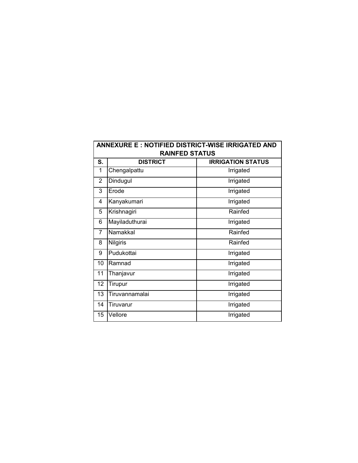| ANNEXURE E : NOTIFIED DISTRICT-WISE IRRIGATED AND |                 |                          |  |
|---------------------------------------------------|-----------------|--------------------------|--|
| <b>RAINFED STATUS</b>                             |                 |                          |  |
| S.                                                | <b>DISTRICT</b> | <b>IRRIGATION STATUS</b> |  |
| 1                                                 | Chengalpattu    | Irrigated                |  |
| $\overline{2}$                                    | Dindugul        | Irrigated                |  |
| 3                                                 | Erode           | Irrigated                |  |
| 4                                                 | Kanyakumari     | Irrigated                |  |
| 5                                                 | Krishnagiri     | Rainfed                  |  |
| 6                                                 | Mayiladuthurai  | Irrigated                |  |
| 7                                                 | Namakkal        | Rainfed                  |  |
| 8                                                 | Nilgiris        | Rainfed                  |  |
| 9                                                 | Pudukottai      | Irrigated                |  |
| 10                                                | Ramnad          | Irrigated                |  |
| 11                                                | Thanjavur       | Irrigated                |  |
| 12                                                | <b>Tirupur</b>  | Irrigated                |  |
| 13                                                | Tiruvannamalai  | Irrigated                |  |
| 14                                                | Tiruvarur       | Irrigated                |  |
| 15                                                | Vellore         | Irrigated                |  |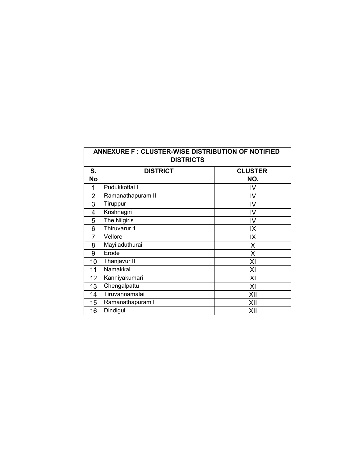| <b>ANNEXURE F: CLUSTER-WISE DISTRIBUTION OF NOTIFIED</b><br><b>DISTRICTS</b> |                   |                |  |
|------------------------------------------------------------------------------|-------------------|----------------|--|
| S.                                                                           | <b>DISTRICT</b>   | <b>CLUSTER</b> |  |
| <b>No</b>                                                                    |                   | NO.            |  |
| 1                                                                            | Pudukkottai I     | IV             |  |
| $\overline{2}$                                                               | Ramanathapuram II | IV             |  |
| 3                                                                            | Tiruppur          | IV             |  |
| 4                                                                            | Krishnagiri       | IV             |  |
| 5                                                                            | The Nilgiris      | IV             |  |
| 6                                                                            | Thiruvarur 1      | IX             |  |
| 7                                                                            | Vellore           | IX             |  |
| 8                                                                            | Mayiladuthurai    | X              |  |
| 9                                                                            | Erode             | X              |  |
| 10                                                                           | Thanjavur II      | XI             |  |
| 11                                                                           | Namakkal          | XI             |  |
| 12                                                                           | Kanniyakumari     | XI             |  |
| 13                                                                           | Chengalpattu      | XI             |  |
| 14                                                                           | Tiruvannamalai    | XII            |  |
| 15                                                                           | Ramanathapuram I  | XII            |  |
| 16                                                                           | Dindigul          | XII            |  |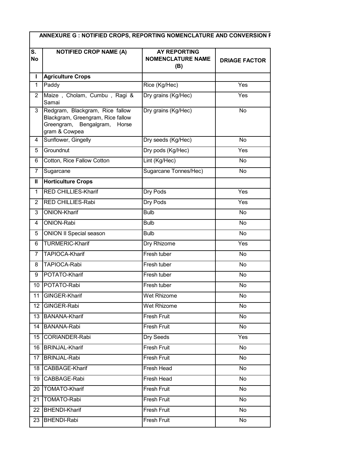| S.<br>No       | <b>NOTIFIED CROP NAME (A)</b>                                                                                            | <b>AY REPORTING</b><br><b>NOMENCLATURE NAME</b><br>(B) | <b>DRIAGE FACTOR</b> |
|----------------|--------------------------------------------------------------------------------------------------------------------------|--------------------------------------------------------|----------------------|
| L              | <b>Agriculture Crops</b>                                                                                                 |                                                        |                      |
| $\mathbf{1}$   | Paddy                                                                                                                    | Rice (Kg/Hec)                                          | Yes                  |
| $\overline{2}$ | Maize, Cholam, Cumbu, Ragi &<br>Samai                                                                                    | Dry grains (Kg/Hec)                                    | Yes                  |
| 3              | Redgram, Blackgram, Rice fallow<br>Blackgram, Greengram, Rice fallow<br>Greengram, Bengalgram,<br>Horse<br>gram & Cowpea | Dry grains (Kg/Hec)                                    | No                   |
| 4              | Sunflower, Gingelly                                                                                                      | Dry seeds (Kg/Hec)                                     | No                   |
| 5              | Groundnut                                                                                                                | Dry pods (Kg/Hec)                                      | Yes                  |
| 6              | Cotton, Rice Fallow Cotton                                                                                               | Lint (Kg/Hec)                                          | No                   |
| 7              | Sugarcane                                                                                                                | Sugarcane Tonnes/Hec)                                  | No                   |
| Ш              | <b>Horticulture Crops</b>                                                                                                |                                                        |                      |
| $\mathbf{1}$   | RED CHILLIES-Kharif                                                                                                      | Dry Pods                                               | Yes                  |
| $\overline{2}$ | <b>RED CHILLIES-Rabi</b>                                                                                                 | Dry Pods                                               | Yes                  |
| 3              | <b>ONION-Kharif</b>                                                                                                      | <b>Bulb</b>                                            | No                   |
| 4              | ONION-Rabi                                                                                                               | <b>Bulb</b>                                            | <b>No</b>            |
| 5              | <b>ONION II Special season</b>                                                                                           | <b>Bulb</b>                                            | No                   |
| 6              | <b>TURMERIC-Kharif</b>                                                                                                   | Dry Rhizome                                            | Yes                  |
| 7              | <b>TAPIOCA-Kharif</b>                                                                                                    | Fresh tuber                                            | No                   |
| 8              | TAPIOCA-Rabi                                                                                                             | Fresh tuber                                            | No                   |
| 9              | POTATO-Kharif                                                                                                            | Fresh tuber                                            | No                   |
| 10             | POTATO-Rabi                                                                                                              | Fresh tuber                                            | No.                  |
|                | 11 GINGER-Kharif                                                                                                         | Wet Rhizome                                            | No                   |
| 12             | GINGER-Rabi                                                                                                              | Wet Rhizome                                            | No                   |
| 13             | <b>BANANA-Kharif</b>                                                                                                     | Fresh Fruit                                            | No                   |
| 14             | <b>BANANA-Rabi</b>                                                                                                       | Fresh Fruit                                            | No                   |
| 15             | CORIANDER-Rabi                                                                                                           | Dry Seeds                                              | Yes                  |
| 16             | <b>BRINJAL-Kharif</b>                                                                                                    | Fresh Fruit                                            | No                   |
| 17             | <b>BRINJAL-Rabi</b>                                                                                                      | Fresh Fruit                                            | No                   |
| 18             | CABBAGE-Kharif                                                                                                           | Fresh Head                                             | No                   |
|                | 19 CABBAGE-Rabi                                                                                                          | Fresh Head                                             | No                   |
|                | 20   TOMATO-Kharif                                                                                                       | Fresh Fruit                                            | No                   |
| 21             | TOMATO-Rabi                                                                                                              | Fresh Fruit                                            | No                   |
| 22             | <b>BHENDI-Kharif</b>                                                                                                     | Fresh Fruit                                            | No                   |
| 23             | <b>BHENDI-Rabi</b>                                                                                                       | Fresh Fruit                                            | No                   |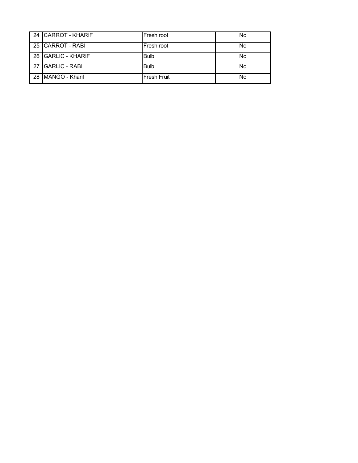|    | 24 CARROT - KHARIF   | Fresh root         | No |
|----|----------------------|--------------------|----|
|    | 25 CARROT - RABI     | Fresh root         | No |
|    | 26 GARLIC - KHARIF   | <b>Bulb</b>        | No |
| 27 | <b>GARLIC - RABI</b> | <b>Bulb</b>        | No |
| 28 | MANGO - Kharif       | <b>Fresh Fruit</b> | No |